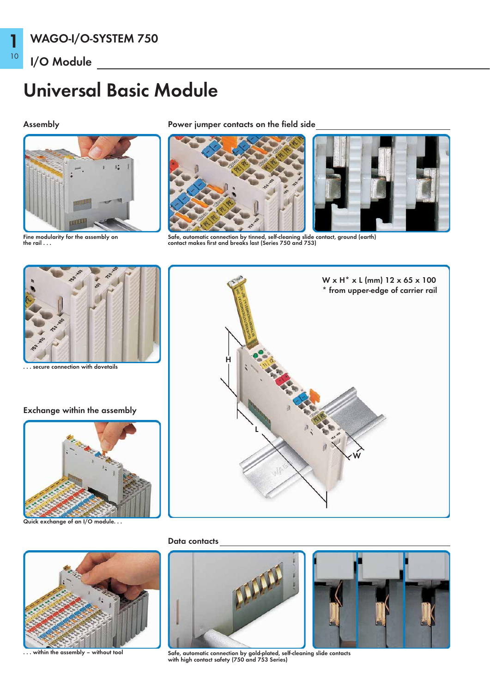## Universal Basic Module

10

1



Fine modularity for the assembly on the rail . . .

Assembly Power jumper contacts on the field side



Safe, automatic connection by tinned, self-cleaning slide contact, ground (earth) contact makes first and breaks last (Series 750 and 753)



secure connection with dovetails

### Exchange within the assembly



Quick exchange of an I/O module...



within the assembly - without tool



### Data contacts



Safe, automatic connection by gold-plated, self-cleaning slide contacts with high contact safety (750 and 753 Series)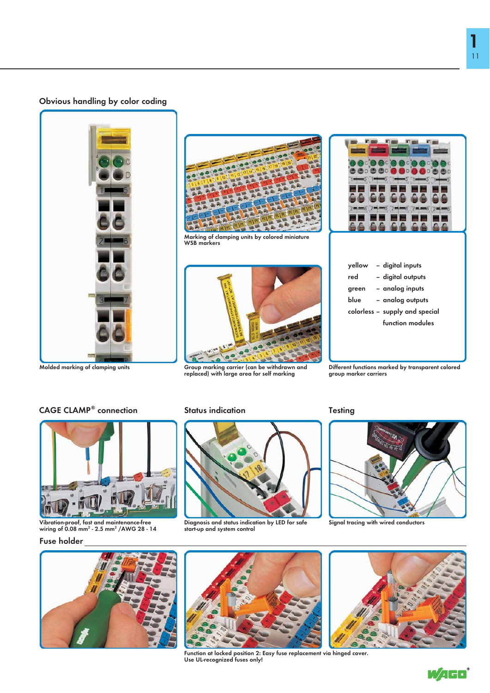### Obvious handling by color coding





Marking of clamping units by colored miniature WSB markers



Group marking carrier (can be withdrawn and replaced) with large area for self marking

 $2$ 

| yellow | - digital inputs               |
|--------|--------------------------------|
| red    | - digital outputs              |
| green  | - analog inputs                |
| blue   | - analog outputs               |
|        | colorless – supply and special |
|        | function modules               |
|        |                                |

Different functions marked by transparent colored group marker carriers

CAGE CLAMP<sup>®</sup> connection Status indication Testing



## Vibration-proof, fast and maintenance-free<br>wiring of 0.08 mm<sup>2</sup> - 2.5 mm<sup>2</sup> /AWG 28 - 14

### Fuse holder



Diagnosis and status indication by LED for safe start-up and system control



Signal tracing with wired conductors





Function at locked position 2: Easy fuse replacement via hinged cover. Use UL-recognized fuses only!



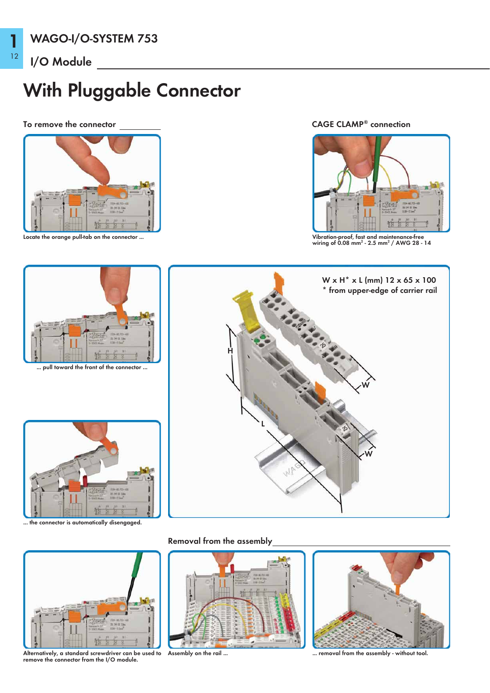1

12

# With Pluggable Connector

### To remove the connector



Locate the orange pull-tab on the connector ...

### CAGE CLAMP® connection



Vibration-proof, fast and maintenance-free<br>wiring of 0.08 mm<sup>2</sup> - 2.5 mm<sup>2</sup> / AWG 28 - 14



... the connector is automatically disengaged.



Alternatively, a standard screwdriver can be used to remove the connector from the I/O module.

Removal from the assembly





... removal from the assembly - without tool.